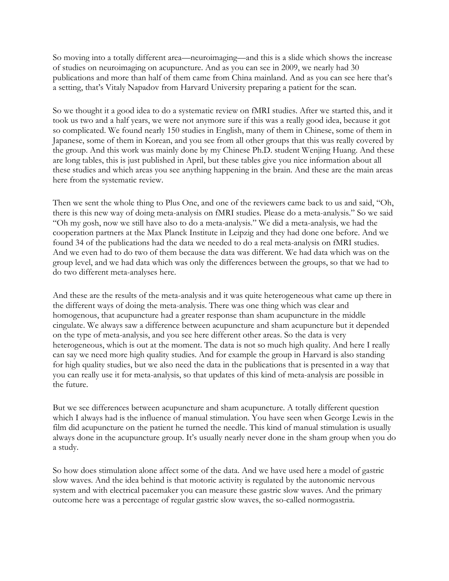So moving into a totally different area—neuroimaging—and this is a slide which shows the increase of studies on neuroimaging on acupuncture. And as you can see in 2009, we nearly had 30 publications and more than half of them came from China mainland. And as you can see here that's a setting, that's Vitaly Napadov from Harvard University preparing a patient for the scan.

So we thought it a good idea to do a systematic review on fMRI studies. After we started this, and it took us two and a half years, we were not anymore sure if this was a really good idea, because it got so complicated. We found nearly 150 studies in English, many of them in Chinese, some of them in Japanese, some of them in Korean, and you see from all other groups that this was really covered by the group. And this work was mainly done by my Chinese Ph.D. student Wenjing Huang. And these are long tables, this is just published in April, but these tables give you nice information about all these studies and which areas you see anything happening in the brain. And these are the main areas here from the systematic review.

Then we sent the whole thing to Plus One, and one of the reviewers came back to us and said, "Oh, there is this new way of doing meta-analysis on fMRI studies. Please do a meta-analysis." So we said "Oh my gosh, now we still have also to do a meta-analysis." We did a meta-analysis, we had the cooperation partners at the Max Planck Institute in Leipzig and they had done one before. And we found 34 of the publications had the data we needed to do a real meta-analysis on fMRI studies. And we even had to do two of them because the data was different. We had data which was on the group level, and we had data which was only the differences between the groups, so that we had to do two different meta-analyses here.

And these are the results of the meta-analysis and it was quite heterogeneous what came up there in the different ways of doing the meta-analysis. There was one thing which was clear and homogenous, that acupuncture had a greater response than sham acupuncture in the middle cingulate. We always saw a difference between acupuncture and sham acupuncture but it depended on the type of meta-analysis, and you see here different other areas. So the data is very heterogeneous, which is out at the moment. The data is not so much high quality. And here I really can say we need more high quality studies. And for example the group in Harvard is also standing for high quality studies, but we also need the data in the publications that is presented in a way that you can really use it for meta-analysis, so that updates of this kind of meta-analysis are possible in the future.

But we see differences between acupuncture and sham acupuncture. A totally different question which I always had is the influence of manual stimulation. You have seen when George Lewis in the film did acupuncture on the patient he turned the needle. This kind of manual stimulation is usually always done in the acupuncture group. It's usually nearly never done in the sham group when you do a study.

So how does stimulation alone affect some of the data. And we have used here a model of gastric slow waves. And the idea behind is that motoric activity is regulated by the autonomic nervous system and with electrical pacemaker you can measure these gastric slow waves. And the primary outcome here was a percentage of regular gastric slow waves, the so-called normogastria.